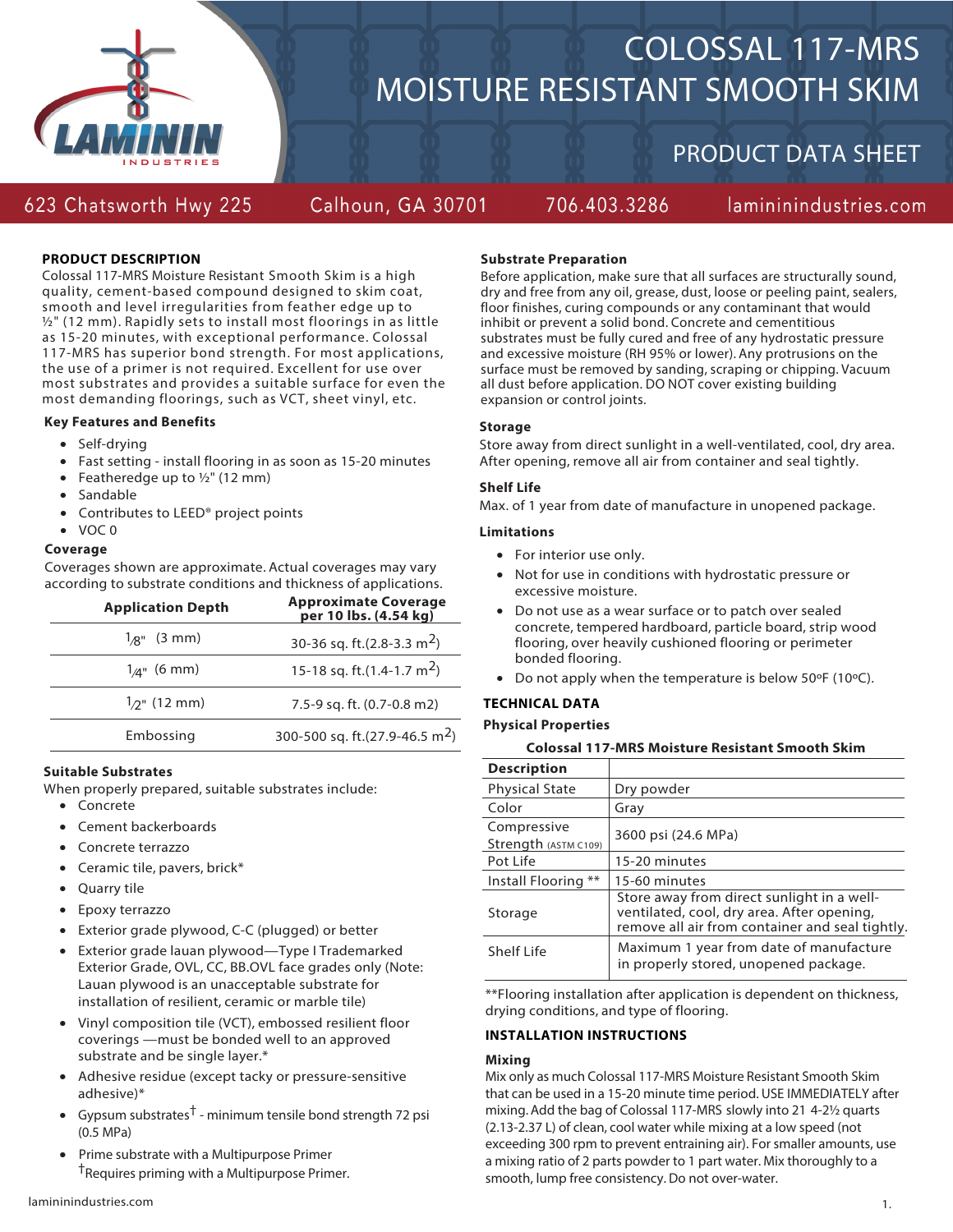

# COLOSSAL 117-MRS MOISTURE RESISTANT SMOOTH SKIM

706.403.3286

## PRODUCT DATA SHEET

### 623 Chatsworth Hwy 225

Calhoun, GA 30701

lamininindustries.com

#### **PRODUCT DESCRIPTION**

Colossal 117-MRS Moisture Resistant Smooth Skim is a high quality, cement-based compound designed to skim coat, smooth and level irregularities from feather edge up to ½" (12 mm). Rapidly sets to install most floorings in as little as 15-20 minutes, with exceptional performance. Colossal 117-MRS has superior bond strength. For most applications, the use of a primer is not required. Excellent for use over most substrates and provides a suitable surface for even the most demanding floorings, such as VCT, sheet vinyl, etc.

#### **Key Features and Benefits**

- Self-drying
- Fast setting install flooring in as soon as 15-20 minutes
- Featheredge up to  $1/2$ " (12 mm)
- Sandable
- Contributes to LEED® project points

#### • VOC 0

#### **Coverage**

Coverages shown are approximate. Actual coverages may vary according to substrate conditions and thickness of applications.

| <b>Application Depth</b>   | <b>Approximate Coverage</b><br>per 10 lbs. (4.54 kg) |
|----------------------------|------------------------------------------------------|
| $1_{\mathcal{B}}$ " (3 mm) | 30-36 sq. ft.(2.8-3.3 m <sup>2</sup> )               |
| $1_{\rm A}$ " (6 mm)       | 15-18 sq. ft.(1.4-1.7 m <sup>2</sup> )               |
| $1_{2}$ " (12 mm)          | 7.5-9 sq. ft. (0.7-0.8 m2)                           |
| Embossing                  | 300-500 sq. ft.(27.9-46.5 m <sup>2</sup> )           |

#### **Suitable Substrates**

When properly prepared, suitable substrates include:

- Concrete
- Cement backerboards
- Concrete terrazzo
- Ceramic tile, pavers, brick\*
- Quarry tile
- Epoxy terrazzo
- Exterior grade plywood, C-C (plugged) or better
- Exterior grade lauan plywood—Type I Trademarked Exterior Grade, OVL, CC, BB.OVL face grades only (Note: Lauan plywood is an unacceptable substrate for installation of resilient, ceramic or marble tile)
- Vinyl composition tile (VCT), embossed resilient floor coverings —must be bonded well to an approved substrate and be single layer.\*
- Adhesive residue (except tacky or pressure-sensitive adhesive)\*
- Gypsum substrates<sup>†</sup> minimum tensile bond strength 72 psi (0.5 MPa)
- Prime substrate with a Multipurpose Primer †Requires priming with a Multipurpose Primer.

#### **Substrate Preparation**

Before application, make sure that all surfaces are structurally sound, dry and free from any oil, grease, dust, loose or peeling paint, sealers, floor finishes, curing compounds or any contaminant that would inhibit or prevent a solid bond. Concrete and cementitious substrates must be fully cured and free of any hydrostatic pressure and excessive moisture (RH 95% or lower). Any protrusions on the surface must be removed by sanding, scraping or chipping. Vacuum all dust before application. DO NOT cover existing building expansion or control joints.

#### **Storage**

Store away from direct sunlight in a well-ventilated, cool, dry area. After opening, remove all air from container and seal tightly.

#### **Shelf Life**

Max. of 1 year from date of manufacture in unopened package.

#### **Limitations**

- For interior use only.
- Not for use in conditions with hydrostatic pressure or excessive moisture.
- Do not use as a wear surface or to patch over sealed concrete, tempered hardboard, particle board, strip wood flooring, over heavily cushioned flooring or perimeter bonded flooring.
- Do not apply when the temperature is below 50ºF (10ºC).

#### **TECHNICAL DATA**

#### **Physical Properties**

#### **Colossal 117-MRS Moisture Resistant Smooth Skim**

| <b>Description</b>                  |                                                                                                                                             |
|-------------------------------------|---------------------------------------------------------------------------------------------------------------------------------------------|
| <b>Physical State</b>               | Dry powder                                                                                                                                  |
| Color                               | Gray                                                                                                                                        |
| Compressive<br>Strength (ASTM C109) | 3600 psi (24.6 MPa)                                                                                                                         |
| Pot Life                            | 15-20 minutes                                                                                                                               |
| $***$<br>Install Flooring           | 15-60 minutes                                                                                                                               |
| Storage                             | Store away from direct sunlight in a well-<br>ventilated, cool, dry area. After opening,<br>remove all air from container and seal tightly. |
| Shelf Life                          | Maximum 1 year from date of manufacture<br>in properly stored, unopened package.                                                            |

\*\*Flooring installation after application is dependent on thickness, drying conditions, and type of flooring.

#### **INSTALLATION INSTRUCTIONS**

#### **Mixing**

Mix only as much Colossal 117-MRS Moisture Resistant Smooth Skim that can be used in a 15-20 minute time period. USE IMMEDIATELY after mixing. Add the bag of Colossal 117-MRS slowly into 21 4-2½ quarts (2.13-2.37 L) of clean, cool water while mixing at a low speed (not exceeding 300 rpm to prevent entraining air). For smaller amounts, use a mixing ratio of 2 parts powder to 1 part water. Mix thoroughly to a smooth, lump free consistency. Do not over-water.